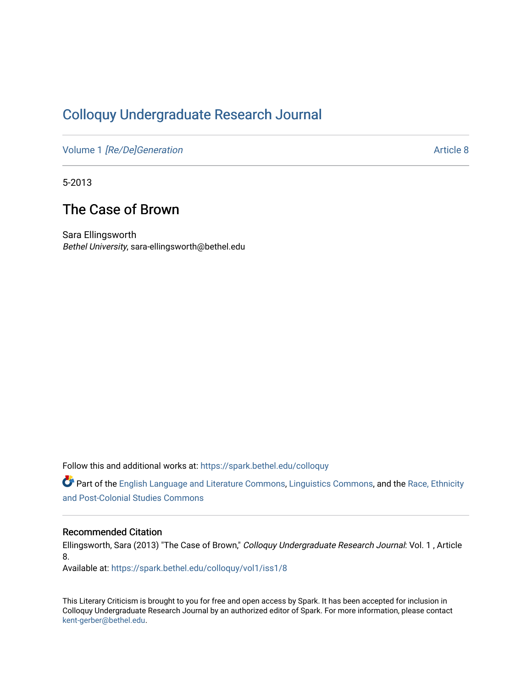# [Colloquy Undergraduate Research Journal](https://spark.bethel.edu/colloquy)

Volume 1 [\[Re/De\]Generation](https://spark.bethel.edu/colloquy/vol1) Article 8

5-2013

# The Case of Brown

Sara Ellingsworth Bethel University, sara-ellingsworth@bethel.edu

Follow this and additional works at: [https://spark.bethel.edu/colloquy](https://spark.bethel.edu/colloquy?utm_source=spark.bethel.edu%2Fcolloquy%2Fvol1%2Fiss1%2F8&utm_medium=PDF&utm_campaign=PDFCoverPages) 

Part of the [English Language and Literature Commons](http://network.bepress.com/hgg/discipline/455?utm_source=spark.bethel.edu%2Fcolloquy%2Fvol1%2Fiss1%2F8&utm_medium=PDF&utm_campaign=PDFCoverPages), [Linguistics Commons,](http://network.bepress.com/hgg/discipline/371?utm_source=spark.bethel.edu%2Fcolloquy%2Fvol1%2Fiss1%2F8&utm_medium=PDF&utm_campaign=PDFCoverPages) and the [Race, Ethnicity](http://network.bepress.com/hgg/discipline/566?utm_source=spark.bethel.edu%2Fcolloquy%2Fvol1%2Fiss1%2F8&utm_medium=PDF&utm_campaign=PDFCoverPages) [and Post-Colonial Studies Commons](http://network.bepress.com/hgg/discipline/566?utm_source=spark.bethel.edu%2Fcolloquy%2Fvol1%2Fiss1%2F8&utm_medium=PDF&utm_campaign=PDFCoverPages) 

#### Recommended Citation

Ellingsworth, Sara (2013) "The Case of Brown," Colloquy Undergraduate Research Journal: Vol. 1 , Article 8.

Available at: [https://spark.bethel.edu/colloquy/vol1/iss1/8](https://spark.bethel.edu/colloquy/vol1/iss1/8?utm_source=spark.bethel.edu%2Fcolloquy%2Fvol1%2Fiss1%2F8&utm_medium=PDF&utm_campaign=PDFCoverPages) 

This Literary Criticism is brought to you for free and open access by Spark. It has been accepted for inclusion in Colloquy Undergraduate Research Journal by an authorized editor of Spark. For more information, please contact [kent-gerber@bethel.edu](mailto:kent-gerber@bethel.edu).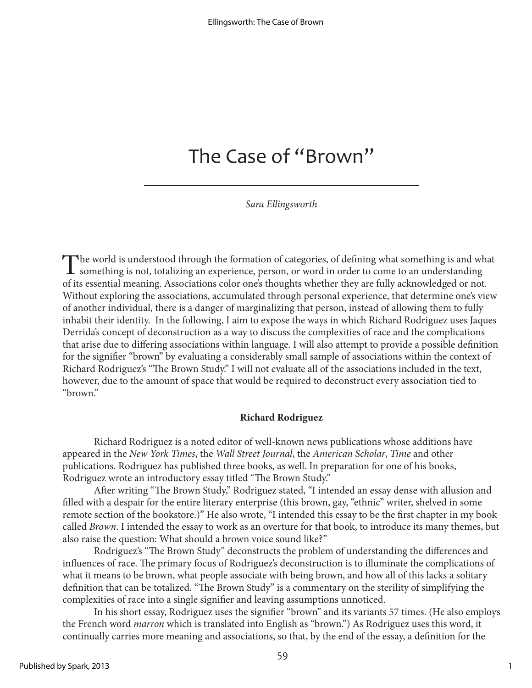# The Case of "Brown"

### *Sara Ellingsworth*

The world is understood through the formation of categories, of defining what something is and what something is not, totalizing an experience, person, or word in order to come to an understanding of its essential meaning. Associations color one's thoughts whether they are fully acknowledged or not. Without exploring the associations, accumulated through personal experience, that determine one's view of another individual, there is a danger of marginalizing that person, instead of allowing them to fully inhabit their identity. In the following, I aim to expose the ways in which Richard Rodriguez uses Jaques Derrida's concept of deconstruction as a way to discuss the complexities of race and the complications that arise due to differing associations within language. I will also attempt to provide a possible definition for the signifier "brown" by evaluating a considerably small sample of associations within the context of Richard Rodriguez's "The Brown Study." I will not evaluate all of the associations included in the text, however, due to the amount of space that would be required to deconstruct every association tied to "brown."

#### **Richard Rodriguez**

Richard Rodriguez is a noted editor of well-known news publications whose additions have appeared in the *New York Times*, the *Wall Street Journal*, the *American Scholar*, *Time* and other publications. Rodriguez has published three books, as well. In preparation for one of his books, Rodriguez wrote an introductory essay titled "The Brown Study."

After writing "The Brown Study," Rodriguez stated, "I intended an essay dense with allusion and filled with a despair for the entire literary enterprise (this brown, gay, "ethnic" writer, shelved in some remote section of the bookstore.)" He also wrote, "I intended this essay to be the first chapter in my book called *Brown*. I intended the essay to work as an overture for that book, to introduce its many themes, but also raise the question: What should a brown voice sound like?"

Rodriguez's "The Brown Study" deconstructs the problem of understanding the differences and influences of race. The primary focus of Rodriguez's deconstruction is to illuminate the complications of what it means to be brown, what people associate with being brown, and how all of this lacks a solitary definition that can be totalized. "The Brown Study" is a commentary on the sterility of simplifying the complexities of race into a single signifier and leaving assumptions unnoticed.

In his short essay, Rodriguez uses the signifier "brown" and its variants 57 times. (He also employs the French word *marron* which is translated into English as "brown.") As Rodriguez uses this word, it continually carries more meaning and associations, so that, by the end of the essay, a definition for the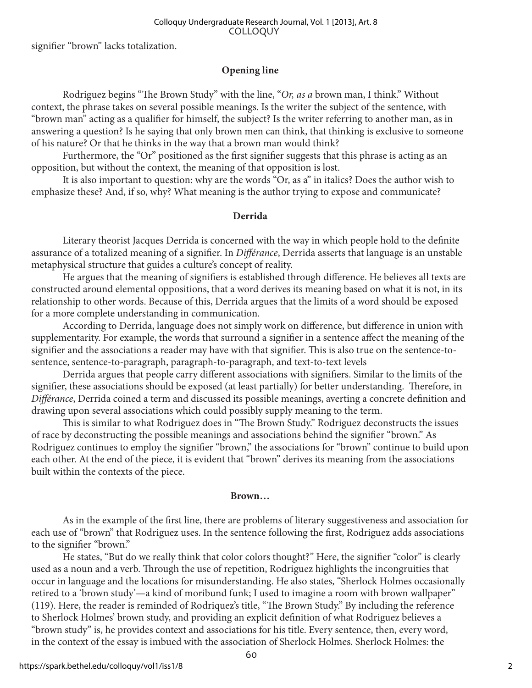signifier "brown" lacks totalization.

# **Opening line**

Rodriguez begins "The Brown Study" with the line, "*Or, as a* brown man, I think." Without context, the phrase takes on several possible meanings. Is the writer the subject of the sentence, with "brown man" acting as a qualifier for himself, the subject? Is the writer referring to another man, as in answering a question? Is he saying that only brown men can think, that thinking is exclusive to someone of his nature? Or that he thinks in the way that a brown man would think?

Furthermore, the "Or" positioned as the first signifier suggests that this phrase is acting as an opposition, but without the context, the meaning of that opposition is lost.

It is also important to question: why are the words "Or, as a" in italics? Does the author wish to emphasize these? And, if so, why? What meaning is the author trying to expose and communicate?

# **Derrida**

Literary theorist Jacques Derrida is concerned with the way in which people hold to the definite assurance of a totalized meaning of a signifier. In *Différance*, Derrida asserts that language is an unstable metaphysical structure that guides a culture's concept of reality.

He argues that the meaning of signifiers is established through difference. He believes all texts are constructed around elemental oppositions, that a word derives its meaning based on what it is not, in its relationship to other words. Because of this, Derrida argues that the limits of a word should be exposed for a more complete understanding in communication.

According to Derrida, language does not simply work on difference, but difference in union with supplementarity. For example, the words that surround a signifier in a sentence affect the meaning of the signifier and the associations a reader may have with that signifier. This is also true on the sentence-tosentence, sentence-to-paragraph, paragraph-to-paragraph, and text-to-text levels

Derrida argues that people carry different associations with signifiers. Similar to the limits of the signifier, these associations should be exposed (at least partially) for better understanding. Therefore, in *Différance*, Derrida coined a term and discussed its possible meanings, averting a concrete definition and drawing upon several associations which could possibly supply meaning to the term.

This is similar to what Rodriguez does in "The Brown Study." Rodriguez deconstructs the issues of race by deconstructing the possible meanings and associations behind the signifier "brown." As Rodriguez continues to employ the signifier "brown," the associations for "brown" continue to build upon each other. At the end of the piece, it is evident that "brown" derives its meaning from the associations built within the contexts of the piece.

## **Brown…**

As in the example of the first line, there are problems of literary suggestiveness and association for each use of "brown" that Rodriguez uses. In the sentence following the first, Rodriguez adds associations to the signifier "brown."

He states, "But do we really think that color colors thought?" Here, the signifier "color" is clearly used as a noun and a verb. Through the use of repetition, Rodriguez highlights the incongruities that occur in language and the locations for misunderstanding. He also states, "Sherlock Holmes occasionally retired to a 'brown study'—a kind of moribund funk; I used to imagine a room with brown wallpaper" (119). Here, the reader is reminded of Rodriquez's title, "The Brown Study." By including the reference to Sherlock Holmes' brown study, and providing an explicit definition of what Rodriguez believes a "brown study" is, he provides context and associations for his title. Every sentence, then, every word, in the context of the essay is imbued with the association of Sherlock Holmes. Sherlock Holmes: the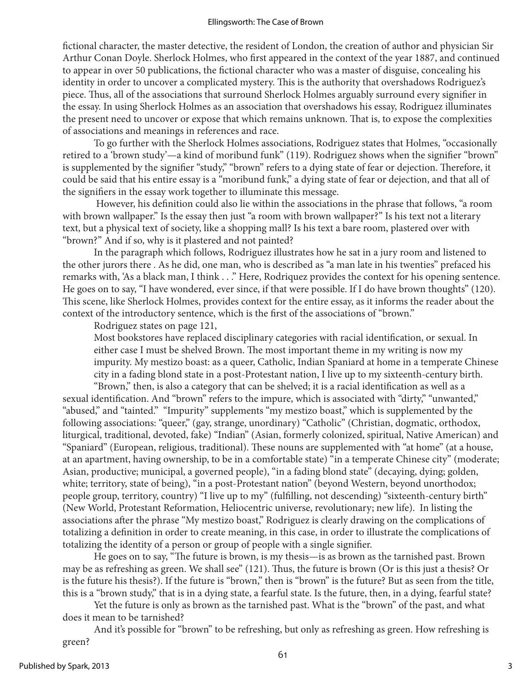fictional character, the master detective, the resident of London, the creation of author and physician Sir Arthur Conan Doyle. Sherlock Holmes, who first appeared in the context of the year 1887, and continued to appear in over 50 publications, the fictional character who was a master of disguise, concealing his identity in order to uncover a complicated mystery. This is the authority that overshadows Rodriguez's piece. Thus, all of the associations that surround Sherlock Holmes arguably surround every signifier in the essay. In using Sherlock Holmes as an association that overshadows his essay, Rodriguez illuminates the present need to uncover or expose that which remains unknown. That is, to expose the complexities of associations and meanings in references and race.

To go further with the Sherlock Holmes associations, Rodriguez states that Holmes, "occasionally retired to a 'brown study'—a kind of moribund funk" (119). Rodriguez shows when the signifier "brown" is supplemented by the signifier "study," "brown" refers to a dying state of fear or dejection. Therefore, it could be said that his entire essay is a "moribund funk," a dying state of fear or dejection, and that all of the signifiers in the essay work together to illuminate this message.

 However, his definition could also lie within the associations in the phrase that follows, "a room with brown wallpaper." Is the essay then just "a room with brown wallpaper?" Is his text not a literary text, but a physical text of society, like a shopping mall? Is his text a bare room, plastered over with "brown?" And if so, why is it plastered and not painted?

In the paragraph which follows, Rodriguez illustrates how he sat in a jury room and listened to the other jurors there . As he did, one man, who is described as "a man late in his twenties" prefaced his remarks with, 'As a black man, I think . . ." Here, Rodriquez provides the context for his opening sentence. He goes on to say, "I have wondered, ever since, if that were possible. If I do have brown thoughts" (120). This scene, like Sherlock Holmes, provides context for the entire essay, as it informs the reader about the context of the introductory sentence, which is the first of the associations of "brown."

Rodriguez states on page 121,

Most bookstores have replaced disciplinary categories with racial identification, or sexual. In either case I must be shelved Brown. The most important theme in my writing is now my impurity. My mestizo boast: as a queer, Catholic, Indian Spaniard at home in a temperate Chinese city in a fading blond state in a post-Protestant nation, I live up to my sixteenth-century birth.

"Brown," then, is also a category that can be shelved; it is a racial identification as well as a sexual identification. And "brown" refers to the impure, which is associated with "dirty," "unwanted," "abused," and "tainted." "Impurity" supplements "my mestizo boast," which is supplemented by the following associations: "queer," (gay, strange, unordinary) "Catholic" (Christian, dogmatic, orthodox, liturgical, traditional, devoted, fake) "Indian" (Asian, formerly colonized, spiritual, Native American) and "Spaniard" (European, religious, traditional). These nouns are supplemented with "at home" (at a house, at an apartment, having ownership, to be in a comfortable state) "in a temperate Chinese city" (moderate; Asian, productive; municipal, a governed people), "in a fading blond state" (decaying, dying; golden, white; territory, state of being), "in a post-Protestant nation" (beyond Western, beyond unorthodox; people group, territory, country) "I live up to my" (fulfilling, not descending) "sixteenth-century birth" (New World, Protestant Reformation, Heliocentric universe, revolutionary; new life). In listing the associations after the phrase "My mestizo boast," Rodriguez is clearly drawing on the complications of totalizing a definition in order to create meaning, in this case, in order to illustrate the complications of totalizing the identity of a person or group of people with a single signifier.

He goes on to say, "The future is brown, is my thesis—is as brown as the tarnished past. Brown may be as refreshing as green. We shall see" (121). Thus, the future is brown (Or is this just a thesis? Or is the future his thesis?). If the future is "brown," then is "brown" is the future? But as seen from the title, this is a "brown study," that is in a dying state, a fearful state. Is the future, then, in a dying, fearful state?

Yet the future is only as brown as the tarnished past. What is the "brown" of the past, and what does it mean to be tarnished?

And it's possible for "brown" to be refreshing, but only as refreshing as green. How refreshing is green?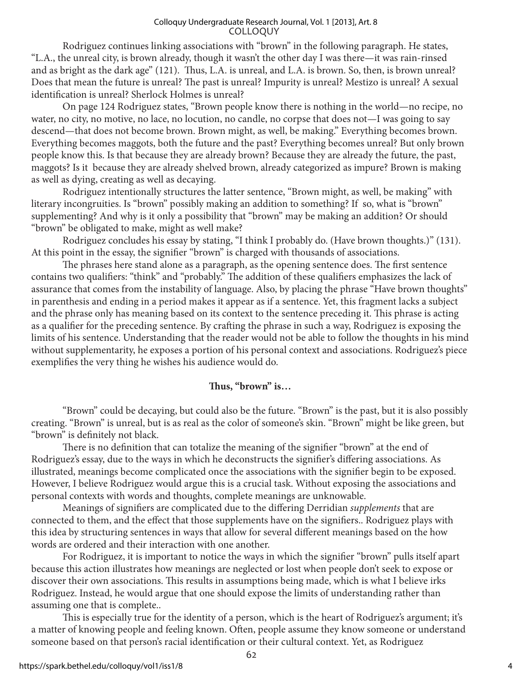#### COLLOQUY Colloquy Undergraduate Research Journal, Vol. 1 [2013], Art. 8

Rodriguez continues linking associations with "brown" in the following paragraph. He states, "L.A., the unreal city, is brown already, though it wasn't the other day I was there—it was rain-rinsed and as bright as the dark age" (121). Thus, L.A. is unreal, and L.A. is brown. So, then, is brown unreal? Does that mean the future is unreal? The past is unreal? Impurity is unreal? Mestizo is unreal? A sexual identification is unreal? Sherlock Holmes is unreal?

On page 124 Rodriguez states, "Brown people know there is nothing in the world—no recipe, no water, no city, no motive, no lace, no locution, no candle, no corpse that does not—I was going to say descend—that does not become brown. Brown might, as well, be making." Everything becomes brown. Everything becomes maggots, both the future and the past? Everything becomes unreal? But only brown people know this. Is that because they are already brown? Because they are already the future, the past, maggots? Is it because they are already shelved brown, already categorized as impure? Brown is making as well as dying, creating as well as decaying.

Rodriguez intentionally structures the latter sentence, "Brown might, as well, be making" with literary incongruities. Is "brown" possibly making an addition to something? If so, what is "brown" supplementing? And why is it only a possibility that "brown" may be making an addition? Or should "brown" be obligated to make, might as well make?

Rodriguez concludes his essay by stating, "I think I probably do. (Have brown thoughts.)" (131). At this point in the essay, the signifier "brown" is charged with thousands of associations.

The phrases here stand alone as a paragraph, as the opening sentence does. The first sentence contains two qualifiers: "think" and "probably." The addition of these qualifiers emphasizes the lack of assurance that comes from the instability of language. Also, by placing the phrase "Have brown thoughts" in parenthesis and ending in a period makes it appear as if a sentence. Yet, this fragment lacks a subject and the phrase only has meaning based on its context to the sentence preceding it. This phrase is acting as a qualifier for the preceding sentence. By crafting the phrase in such a way, Rodriguez is exposing the limits of his sentence. Understanding that the reader would not be able to follow the thoughts in his mind without supplementarity, he exposes a portion of his personal context and associations. Rodriguez's piece exemplifies the very thing he wishes his audience would do.

## **Thus, "brown" is…**

"Brown" could be decaying, but could also be the future. "Brown" is the past, but it is also possibly creating. "Brown" is unreal, but is as real as the color of someone's skin. "Brown" might be like green, but "brown" is definitely not black.

There is no definition that can totalize the meaning of the signifier "brown" at the end of Rodriguez's essay, due to the ways in which he deconstructs the signifier's differing associations. As illustrated, meanings become complicated once the associations with the signifier begin to be exposed. However, I believe Rodriguez would argue this is a crucial task. Without exposing the associations and personal contexts with words and thoughts, complete meanings are unknowable.

Meanings of signifiers are complicated due to the differing Derridian *supplements* that are connected to them, and the effect that those supplements have on the signifiers.. Rodriguez plays with this idea by structuring sentences in ways that allow for several different meanings based on the how words are ordered and their interaction with one another.

For Rodriguez, it is important to notice the ways in which the signifier "brown" pulls itself apart because this action illustrates how meanings are neglected or lost when people don't seek to expose or discover their own associations. This results in assumptions being made, which is what I believe irks Rodriguez. Instead, he would argue that one should expose the limits of understanding rather than assuming one that is complete..

This is especially true for the identity of a person, which is the heart of Rodriguez's argument; it's a matter of knowing people and feeling known. Often, people assume they know someone or understand someone based on that person's racial identification or their cultural context. Yet, as Rodriguez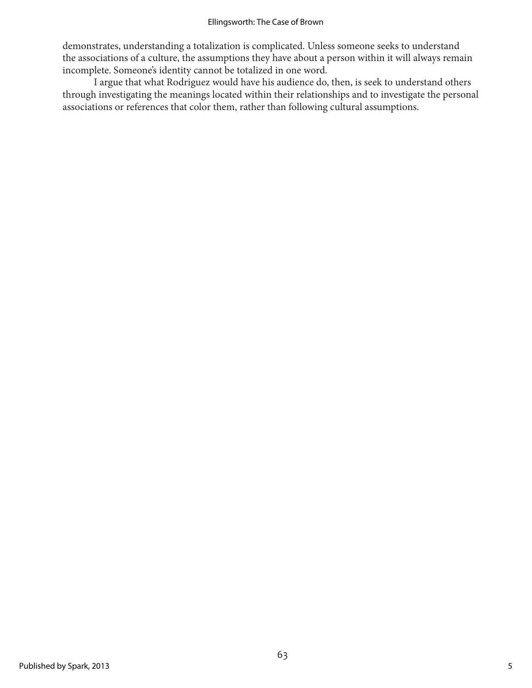#### Ellingsworth: The Case of Brown

demonstrates, understanding a totalization is complicated. Unless someone seeks to understand the associations of a culture, the assumptions they have about a person within it will always remain incomplete. Someone's identity cannot be totalized in one word.

I argue that what Rodriguez would have his audience do, then, is seek to understand others through investigating the meanings located within their relationships and to investigate the personal associations or references that color them, rather than following cultural assumptions.